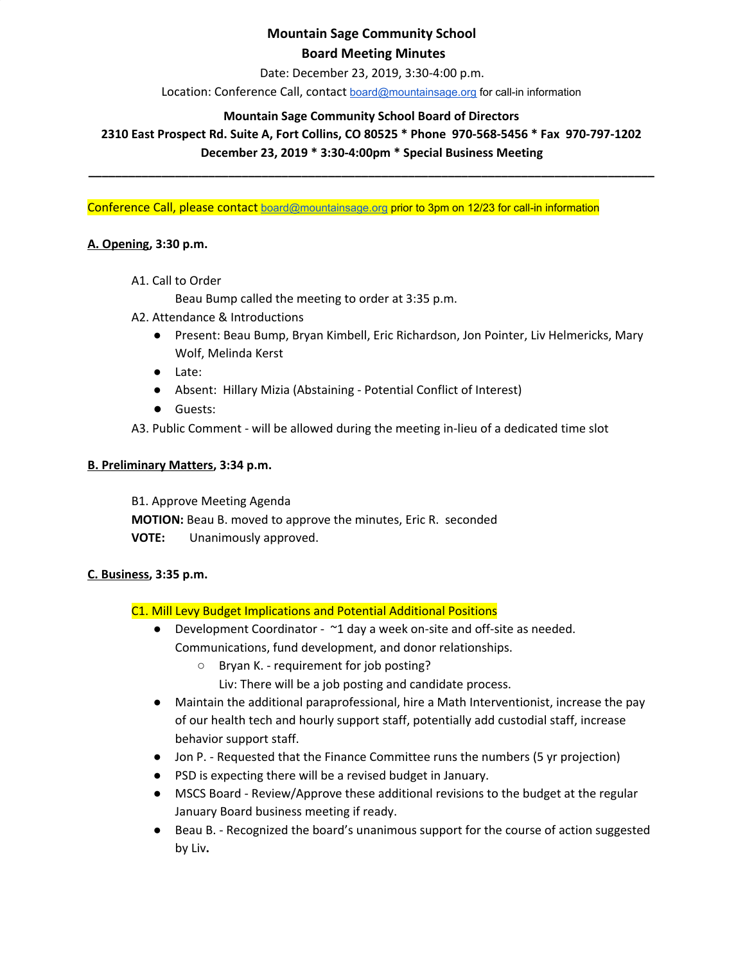# **Mountain Sage Community School Board Meeting Minutes**

Date: December 23, 2019, 3:30-4:00 p.m.

Location: Conference Call, contact [board@mountainsage.org](mailto:board@mountainsage.org) for call-in information

### **Mountain Sage Community School Board of Directors**

## **2310 East Prospect Rd. Suite A, Fort Collins, CO 80525 \* Phone 970-568-5456 \* Fax 970-797-1202 December 23, 2019 \* 3:30-4:00pm \* Special Business Meeting**

**\_\_\_\_\_\_\_\_\_\_\_\_\_\_\_\_\_\_\_\_\_\_\_\_\_\_\_\_\_\_\_\_\_\_\_\_\_\_\_\_\_\_\_\_\_\_\_\_\_\_\_\_\_\_\_\_\_\_\_\_\_\_\_\_\_\_\_\_\_\_\_\_\_\_\_\_\_\_\_\_\_\_\_\_\_**

Conference Call, please contact [board@mountainsage.org](mailto:board@mountainsage.org) prior to 3pm on 12/23 for call-in information

#### **A. Opening, 3:30 p.m.**

- A1. Call to Order
	- Beau Bump called the meeting to order at 3:35 p.m.
- A2. Attendance & Introductions
	- Present: Beau Bump, Bryan Kimbell, Eric Richardson, Jon Pointer, Liv Helmericks, Mary Wolf, Melinda Kerst
	- Late:
	- Absent: Hillary Mizia (Abstaining Potential Conflict of Interest)
	- Guests:
- A3. Public Comment will be allowed during the meeting in-lieu of a dedicated time slot

## **B. Preliminary Matters, 3:34 p.m.**

B1. Approve Meeting Agenda **MOTION:** Beau B. moved to approve the minutes, Eric R. seconded **VOTE:** Unanimously approved.

#### **C. Business, 3:35 p.m.**

#### C1. Mill Levy Budget Implications and Potential Additional Positions

- Development Coordinator ~1 day a week on-site and off-site as needed. Communications, fund development, and donor relationships.
	- Bryan K. requirement for job posting?

Liv: There will be a job posting and candidate process.

- Maintain the additional paraprofessional, hire a Math Interventionist, increase the pay of our health tech and hourly support staff, potentially add custodial staff, increase behavior support staff.
- Jon P. Requested that the Finance Committee runs the numbers (5 yr projection)
- PSD is expecting there will be a revised budget in January.
- MSCS Board Review/Approve these additional revisions to the budget at the regular January Board business meeting if ready.
- Beau B. Recognized the board's unanimous support for the course of action suggested by Liv**.**